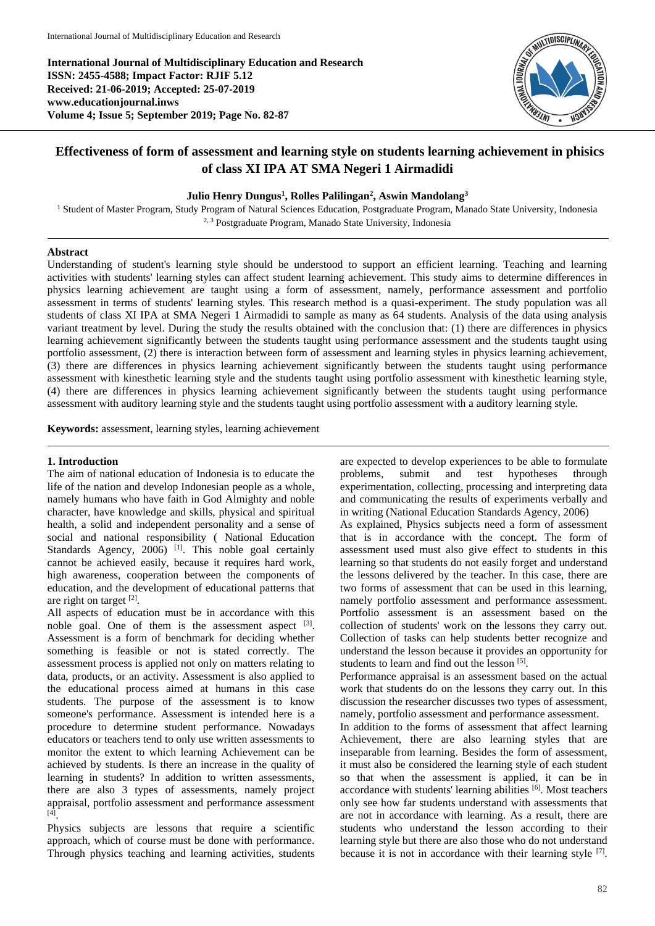**International Journal of Multidisciplinary Education and Research ISSN: 2455-4588; Impact Factor: RJIF 5.12 Received: 21-06-2019; Accepted: 25-07-2019 www.educationjournal.inws Volume 4; Issue 5; September 2019; Page No. 82-87**



# **Effectiveness of form of assessment and learning style on students learning achievement in phisics of class XI IPA AT SMA Negeri 1 Airmadidi**

### **Julio Henry Dungus<sup>1</sup> , Rolles Palilingan<sup>2</sup> , Aswin Mandolang<sup>3</sup>**

<sup>1</sup> Student of Master Program, Study Program of Natural Sciences Education, Postgraduate Program, Manado State University, Indonesia 2, 3 Postgraduate Program, Manado State University, Indonesia

### **Abstract**

Understanding of student's learning style should be understood to support an efficient learning. Teaching and learning activities with students' learning styles can affect student learning achievement. This study aims to determine differences in physics learning achievement are taught using a form of assessment, namely, performance assessment and portfolio assessment in terms of students' learning styles. This research method is a quasi-experiment. The study population was all students of class XI IPA at SMA Negeri 1 Airmadidi to sample as many as 64 students. Analysis of the data using analysis variant treatment by level. During the study the results obtained with the conclusion that: (1) there are differences in physics learning achievement significantly between the students taught using performance assessment and the students taught using portfolio assessment, (2) there is interaction between form of assessment and learning styles in physics learning achievement, (3) there are differences in physics learning achievement significantly between the students taught using performance assessment with kinesthetic learning style and the students taught using portfolio assessment with kinesthetic learning style, (4) there are differences in physics learning achievement significantly between the students taught using performance assessment with auditory learning style and the students taught using portfolio assessment with a auditory learning style*.*

**Keywords:** assessment, learning styles, learning achievement

#### **1. Introduction**

The aim of national education of Indonesia is to educate the life of the nation and develop Indonesian people as a whole, namely humans who have faith in God Almighty and noble character, have knowledge and skills, physical and spiritual health, a solid and independent personality and a sense of social and national responsibility ( National Education Standards Agency, 2006)<sup>[1]</sup>. This noble goal certainly cannot be achieved easily, because it requires hard work, high awareness, cooperation between the components of education, and the development of educational patterns that are right on target [2].

All aspects of education must be in accordance with this noble goal. One of them is the assessment aspect  $[3]$ . Assessment is a form of benchmark for deciding whether something is feasible or not is stated correctly. The assessment process is applied not only on matters relating to data, products, or an activity. Assessment is also applied to the educational process aimed at humans in this case students. The purpose of the assessment is to know someone's performance. Assessment is intended here is a procedure to determine student performance. Nowadays educators or teachers tend to only use written assessments to monitor the extent to which learning Achievement can be achieved by students. Is there an increase in the quality of learning in students? In addition to written assessments, there are also 3 types of assessments, namely project appraisal, portfolio assessment and performance assessment [4] .

Physics subjects are lessons that require a scientific approach, which of course must be done with performance. Through physics teaching and learning activities, students

are expected to develop experiences to be able to formulate problems, submit and test hypotheses through experimentation, collecting, processing and interpreting data and communicating the results of experiments verbally and in writing (National Education Standards Agency, 2006) As explained, Physics subjects need a form of assessment that is in accordance with the concept. The form of assessment used must also give effect to students in this learning so that students do not easily forget and understand the lessons delivered by the teacher. In this case, there are two forms of assessment that can be used in this learning, namely portfolio assessment and performance assessment. Portfolio assessment is an assessment based on the collection of students' work on the lessons they carry out. Collection of tasks can help students better recognize and understand the lesson because it provides an opportunity for students to learn and find out the lesson [5].

Performance appraisal is an assessment based on the actual work that students do on the lessons they carry out. In this discussion the researcher discusses two types of assessment, namely, portfolio assessment and performance assessment.

In addition to the forms of assessment that affect learning Achievement, there are also learning styles that are inseparable from learning. Besides the form of assessment, it must also be considered the learning style of each student so that when the assessment is applied, it can be in  $\frac{1}{2}$  accordance with students' learning abilities [6]. Most teachers only see how far students understand with assessments that are not in accordance with learning. As a result, there are students who understand the lesson according to their learning style but there are also those who do not understand because it is not in accordance with their learning style  $[7]$ .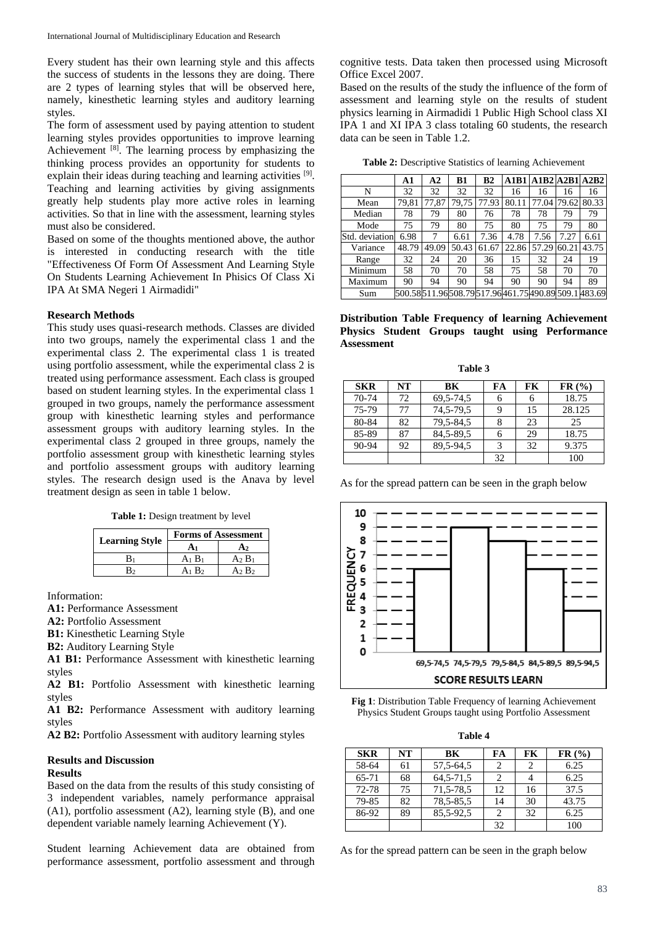Every student has their own learning style and this affects the success of students in the lessons they are doing. There are 2 types of learning styles that will be observed here, namely, kinesthetic learning styles and auditory learning styles.

The form of assessment used by paying attention to student learning styles provides opportunities to improve learning Achievement [8]. The learning process by emphasizing the thinking process provides an opportunity for students to explain their ideas during teaching and learning activities <sup>[9]</sup>. Teaching and learning activities by giving assignments greatly help students play more active roles in learning activities. So that in line with the assessment, learning styles must also be considered.

Based on some of the thoughts mentioned above, the author is interested in conducting research with the title "Effectiveness Of Form Of Assessment And Learning Style On Students Learning Achievement In Phisics Of Class Xi IPA At SMA Negeri 1 Airmadidi"

### **Research Methods**

This study uses quasi-research methods. Classes are divided into two groups, namely the experimental class 1 and the experimental class 2. The experimental class 1 is treated using portfolio assessment, while the experimental class 2 is treated using performance assessment. Each class is grouped based on student learning styles. In the experimental class 1 grouped in two groups, namely the performance assessment group with kinesthetic learning styles and performance assessment groups with auditory learning styles. In the experimental class 2 grouped in three groups, namely the portfolio assessment group with kinesthetic learning styles and portfolio assessment groups with auditory learning styles. The research design used is the Anava by level treatment design as seen in table 1 below.

Table 1: Design treatment by level

|                       | <b>Forms of Assessment</b> |           |  |  |
|-----------------------|----------------------------|-----------|--|--|
| <b>Learning Style</b> |                            | A2        |  |  |
| Bı                    | $A_1 B_1$                  | $A_2 B_1$ |  |  |
|                       | A1 B2                      | A2 $B2$   |  |  |

Information:

**A1:** Performance Assessment

**A2:** Portfolio Assessment

**B1:** Kinesthetic Learning Style

**B2:** Auditory Learning Style

**A1 B1:** Performance Assessment with kinesthetic learning styles

**A2 B1:** Portfolio Assessment with kinesthetic learning styles

**A1 B2:** Performance Assessment with auditory learning styles

**A2 B2:** Portfolio Assessment with auditory learning styles

### **Results and Discussion**

### **Results**

Based on the data from the results of this study consisting of 3 independent variables, namely performance appraisal (A1), portfolio assessment (A2), learning style (B), and one dependent variable namely learning Achievement (Y).

Student learning Achievement data are obtained from performance assessment, portfolio assessment and through cognitive tests. Data taken then processed using Microsoft Office Excel 2007.

Based on the results of the study the influence of the form of assessment and learning style on the results of student physics learning in Airmadidi 1 Public High School class XI IPA 1 and XI IPA 3 class totaling 60 students, the research data can be seen in Table 1.2.

**Table 2:** Descriptive Statistics of learning Achievement

|                | A1    | A2    | B1    | B <sub>2</sub>                            | A1B1  |       |       | A1B2A2B1A2B2 |
|----------------|-------|-------|-------|-------------------------------------------|-------|-------|-------|--------------|
| N              | 32    | 32    | 32    | 32                                        | 16    | 16    | 16    | 16           |
| Mean           | 79,81 | 77,87 | 79,75 | 77.93                                     | 80.11 | 77.04 | 79.62 | 80.33        |
| Median         | 78    | 79    | 80    | 76                                        | 78    | 78    | 79    | 79           |
| Mode           | 75    | 79    | 80    | 75                                        | 80    | 75    | 79    | 80           |
| Std. deviation | 6.98  | 7     | 6.61  | 7.36                                      | 4.78  | 7.56  | 7.27  | 6.61         |
| Variance       | 48.79 | 49.09 | 50.43 | 61.67                                     | 22.86 | 57.29 | 60.21 | 43.75        |
| Range          | 32    | 24    | 20    | 36                                        | 15    | 32    | 24    | 19           |
| Minimum        | 58    | 70    | 70    | 58                                        | 75    | 58    | 70    | 70           |
| Maximum        | 90    | 94    | 90    | 94                                        | 90    | 90    | 94    | 89           |
| Sum            |       |       |       | 500.58511.96508.79517.96461.75490.89509.1 |       |       |       | 483.69       |

**Distribution Table Frequency of learning Achievement Physics Student Groups taught using Performance Assessment**

| <b>SKR</b> | NT | BK            | FA | FK | FR (%) |
|------------|----|---------------|----|----|--------|
| 70-74      | 72 | 69, 5 - 74, 5 | 6  |    | 18.75  |
| 75-79      | 77 | 74, 5-79, 5   | q  | 15 | 28.125 |
| 80-84      | 82 | 79, 5-84, 5   |    | 23 | 25     |
| 85-89      | 87 | 84, 5-89, 5   | 6  | 29 | 18.75  |
| 90-94      | 92 | 89.5-94.5     | 3  | 32 | 9.375  |
|            |    |               | 32 |    | 100    |

As for the spread pattern can be seen in the graph below





**Table 4**

| <b>SKR</b> | NT | BK            | FA | FK | FR (%) |
|------------|----|---------------|----|----|--------|
| 58-64      | 61 | 57, 5-64, 5   | 2  |    | 6.25   |
| $65 - 71$  | 68 | 64, 5 - 71, 5 | 2  |    | 6.25   |
| 72-78      | 75 | 71, 5-78, 5   | 12 | 16 | 37.5   |
| 79-85      | 82 | 78, 5-85, 5   | 14 | 30 | 43.75  |
| 86-92      | 89 | 85, 5-92, 5   | 2  | 32 | 6.25   |
|            |    |               | 32 |    | 100    |

As for the spread pattern can be seen in the graph below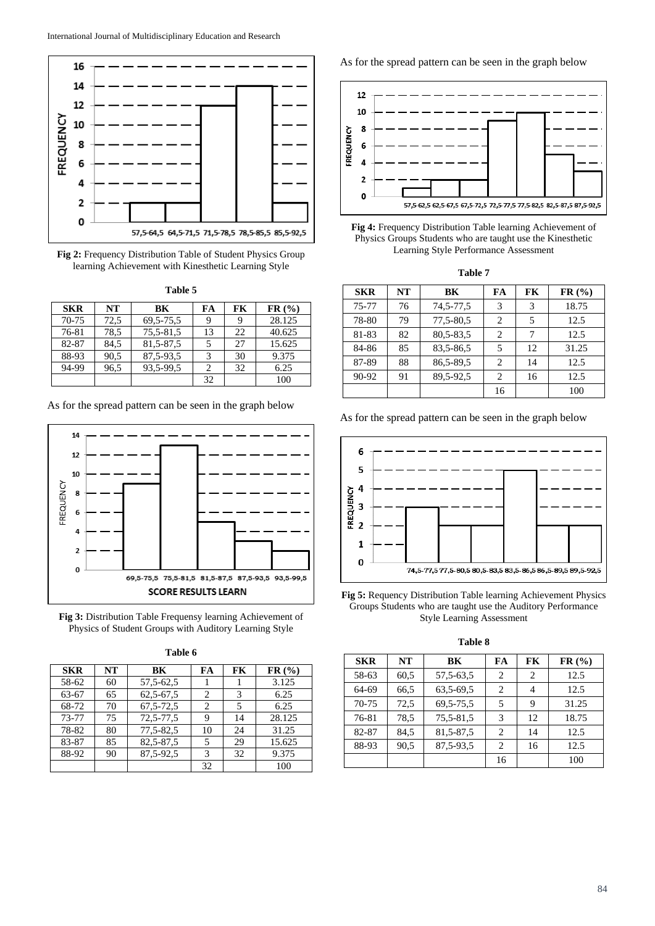

**Fig 2:** Frequency Distribution Table of Student Physics Group learning Achievement with Kinesthetic Learning Style

| anı<br>к |  |
|----------|--|
|----------|--|

| <b>SKR</b> | NT   | BK          | FA | FK | FR (%) |
|------------|------|-------------|----|----|--------|
| 70-75      | 72,5 | 69, 5-75, 5 |    | q  | 28.125 |
| 76-81      | 78,5 | 75,5-81,5   | 13 | 22 | 40.625 |
| 82-87      | 84,5 | 81, 5-87, 5 |    | 27 | 15.625 |
| 88-93      | 90,5 | 87, 5-93, 5 |    | 30 | 9.375  |
| 94-99      | 96.5 | 93,5-99,5   |    | 32 | 6.25   |
|            |      |             | 32 |    | 100    |

As for the spread pattern can be seen in the graph below



**Fig 3:** Distribution Table Frequensy learning Achievement of Physics of Student Groups with Auditory Learning Style

| Table 6 |  |
|---------|--|
|         |  |

| <b>SKR</b> | NT | BK          | FA | FK | FR (%) |
|------------|----|-------------|----|----|--------|
| 58-62      | 60 | 57, 5-62, 5 |    |    | 3.125  |
| 63-67      | 65 | $62,5-67,5$ | 2  | 3  | 6.25   |
| 68-72      | 70 | 67, 5-72, 5 | 2  | 5  | 6.25   |
| 73-77      | 75 | 72,5-77,5   | 9  | 14 | 28.125 |
| 78-82      | 80 | 77,5-82,5   | 10 | 24 | 31.25  |
| 83-87      | 85 | 82,5-87,5   | 5  | 29 | 15.625 |
| 88-92      | 90 | 87, 5-92, 5 | 3  | 32 | 9.375  |
|            |    |             | 32 |    | 100    |

As for the spread pattern can be seen in the graph below





**Table 7**

| <b>SKR</b> | NT | BK          | FA             | FK | FR (%) |
|------------|----|-------------|----------------|----|--------|
| 75-77      | 76 | 74, 5-77, 5 | 3              | 3  | 18.75  |
| 78-80      | 79 | 77,5-80,5   | 2              | 5  | 12.5   |
| 81-83      | 82 | 80, 5-83, 5 | 2              |    | 12.5   |
| 84-86      | 85 | 83,5-86,5   | 5              | 12 | 31.25  |
| 87-89      | 88 | 86, 5-89, 5 | $\overline{c}$ | 14 | 12.5   |
| 90-92      | 91 | 89,5-92,5   | 2              | 16 | 12.5   |
|            |    |             | 16             |    | 100    |

As for the spread pattern can be seen in the graph below



**Fig 5:** Requency Distribution Table learning Achievement Physics Groups Students who are taught use the Auditory Performance Style Learning Assessment

**Table 8**

| <b>SKR</b> | NT   | BK          | FA             | FK | FR (%) |
|------------|------|-------------|----------------|----|--------|
| 58-63      | 60,5 | 57, 5-63, 5 | 2              | 2  | 12.5   |
| 64-69      | 66,5 | 63,5-69,5   | 2              | 4  | 12.5   |
| 70-75      | 72,5 | 69, 5-75, 5 | 5              | 9  | 31.25  |
| 76-81      | 78.5 | 75,5-81,5   | 3              | 12 | 18.75  |
| 82-87      | 84,5 | 81, 5-87, 5 | 2              | 14 | 12.5   |
| 88-93      | 90,5 | 87, 5-93, 5 | $\mathfrak{D}$ | 16 | 12.5   |
|            |      |             | 16             |    | 100    |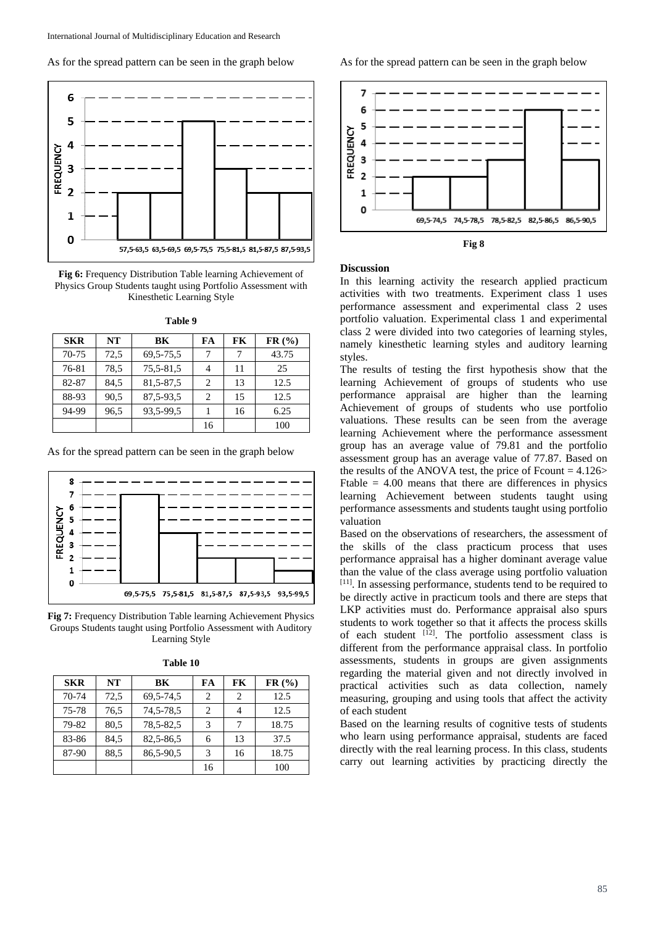As for the spread pattern can be seen in the graph below



**Fig 6:** Frequency Distribution Table learning Achievement of Physics Group Students taught using Portfolio Assessment with Kinesthetic Learning Style

| <b>SKR</b> | <b>NT</b> | BK          | FA                            | FK | FR (%) |
|------------|-----------|-------------|-------------------------------|----|--------|
| 70-75      | 72,5      | 69, 5-75, 5 |                               | 7  | 43.75  |
| 76-81      | 78.5      | 75,5-81,5   |                               | 11 | 25     |
| 82-87      | 84.5      | 81, 5-87, 5 | $\mathfrak{D}_{\mathfrak{p}}$ | 13 | 12.5   |
| 88-93      | 90.5      | 87, 5-93, 5 | $\mathcal{D}_{\mathcal{A}}$   | 15 | 12.5   |
| 94-99      | 96.5      | 93,5-99,5   |                               | 16 | 6.25   |
|            |           |             | 16                            |    | 100    |

**Table 9**

As for the spread pattern can be seen in the graph below



**Fig 7:** Frequency Distribution Table learning Achievement Physics Groups Students taught using Portfolio Assessment with Auditory Learning Style

| Table 10 |  |
|----------|--|
|----------|--|

| <b>SKR</b> | NT   | BK            | FA                          | FK            | FR (%) |
|------------|------|---------------|-----------------------------|---------------|--------|
| 70-74      | 72,5 | 69, 5 - 74, 5 | $\mathcal{D}_{\mathcal{A}}$ | $\mathcal{D}$ | 12.5   |
| 75-78      | 76,5 | 74, 5-78, 5   | 2                           |               | 12.5   |
| 79-82      | 80,5 | 78, 5-82, 5   | 3                           |               | 18.75  |
| 83-86      | 84,5 | 82,5-86,5     | 6                           | 13            | 37.5   |
| 87-90      | 88.5 | 86,5-90,5     | 3                           | 16            | 18.75  |
|            |      |               | 16                          |               | 100    |

As for the spread pattern can be seen in the graph below





### **Discussion**

In this learning activity the research applied practicum activities with two treatments. Experiment class 1 uses performance assessment and experimental class 2 uses portfolio valuation. Experimental class 1 and experimental class 2 were divided into two categories of learning styles, namely kinesthetic learning styles and auditory learning styles.

The results of testing the first hypothesis show that the learning Achievement of groups of students who use performance appraisal are higher than the learning Achievement of groups of students who use portfolio valuations. These results can be seen from the average learning Achievement where the performance assessment group has an average value of 79.81 and the portfolio assessment group has an average value of 77.87. Based on the results of the ANOVA test, the price of Fcount  $= 4.126$ Ftable  $= 4.00$  means that there are differences in physics learning Achievement between students taught using performance assessments and students taught using portfolio valuation

Based on the observations of researchers, the assessment of the skills of the class practicum process that uses performance appraisal has a higher dominant average value than the value of the class average using portfolio valuation [11]. In assessing performance, students tend to be required to be directly active in practicum tools and there are steps that LKP activities must do. Performance appraisal also spurs students to work together so that it affects the process skills of each student  $\begin{bmatrix} 12 \end{bmatrix}$ . The portfolio assessment class is different from the performance appraisal class. In portfolio assessments, students in groups are given assignments regarding the material given and not directly involved in practical activities such as data collection, namely measuring, grouping and using tools that affect the activity of each student

Based on the learning results of cognitive tests of students who learn using performance appraisal, students are faced directly with the real learning process. In this class, students carry out learning activities by practicing directly the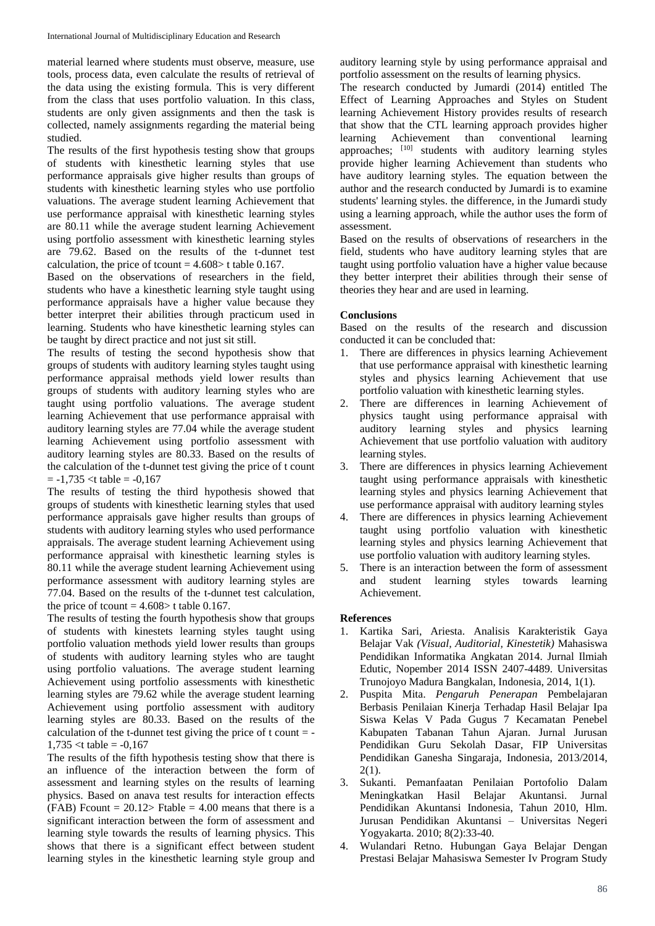material learned where students must observe, measure, use tools, process data, even calculate the results of retrieval of the data using the existing formula. This is very different from the class that uses portfolio valuation. In this class, students are only given assignments and then the task is collected, namely assignments regarding the material being studied.

The results of the first hypothesis testing show that groups of students with kinesthetic learning styles that use performance appraisals give higher results than groups of students with kinesthetic learning styles who use portfolio valuations. The average student learning Achievement that use performance appraisal with kinesthetic learning styles are 80.11 while the average student learning Achievement using portfolio assessment with kinesthetic learning styles are 79.62. Based on the results of the t-dunnet test calculation, the price of tcount  $= 4.608$  t table 0.167.

Based on the observations of researchers in the field, students who have a kinesthetic learning style taught using performance appraisals have a higher value because they better interpret their abilities through practicum used in learning. Students who have kinesthetic learning styles can be taught by direct practice and not just sit still.

The results of testing the second hypothesis show that groups of students with auditory learning styles taught using performance appraisal methods yield lower results than groups of students with auditory learning styles who are taught using portfolio valuations. The average student learning Achievement that use performance appraisal with auditory learning styles are 77.04 while the average student learning Achievement using portfolio assessment with auditory learning styles are 80.33. Based on the results of the calculation of the t-dunnet test giving the price of t count  $= -1,735 <$ t table =  $-0,167$ 

The results of testing the third hypothesis showed that groups of students with kinesthetic learning styles that used performance appraisals gave higher results than groups of students with auditory learning styles who used performance appraisals. The average student learning Achievement using performance appraisal with kinesthetic learning styles is 80.11 while the average student learning Achievement using performance assessment with auditory learning styles are 77.04. Based on the results of the t-dunnet test calculation, the price of tcount  $= 4.608 > t$  table 0.167.

The results of testing the fourth hypothesis show that groups of students with kinestets learning styles taught using portfolio valuation methods yield lower results than groups of students with auditory learning styles who are taught using portfolio valuations. The average student learning Achievement using portfolio assessments with kinesthetic learning styles are 79.62 while the average student learning Achievement using portfolio assessment with auditory learning styles are 80.33. Based on the results of the calculation of the t-dunnet test giving the price of t count  $=$  - $1,735 < t$  table =  $-0,167$ 

The results of the fifth hypothesis testing show that there is an influence of the interaction between the form of assessment and learning styles on the results of learning physics. Based on anava test results for interaction effects (FAB) Fcount =  $20.12$ > Ftable = 4.00 means that there is a significant interaction between the form of assessment and learning style towards the results of learning physics. This shows that there is a significant effect between student learning styles in the kinesthetic learning style group and

auditory learning style by using performance appraisal and portfolio assessment on the results of learning physics.

The research conducted by Jumardi (2014) entitled The Effect of Learning Approaches and Styles on Student learning Achievement History provides results of research that show that the CTL learning approach provides higher learning Achievement than conventional learning approaches; [10] students with auditory learning styles provide higher learning Achievement than students who have auditory learning styles. The equation between the author and the research conducted by Jumardi is to examine students' learning styles. the difference, in the Jumardi study using a learning approach, while the author uses the form of assessment.

Based on the results of observations of researchers in the field, students who have auditory learning styles that are taught using portfolio valuation have a higher value because they better interpret their abilities through their sense of theories they hear and are used in learning.

# **Conclusions**

Based on the results of the research and discussion conducted it can be concluded that:

- 1. There are differences in physics learning Achievement that use performance appraisal with kinesthetic learning styles and physics learning Achievement that use portfolio valuation with kinesthetic learning styles.
- 2. There are differences in learning Achievement of physics taught using performance appraisal with auditory learning styles and physics learning Achievement that use portfolio valuation with auditory learning styles.
- 3. There are differences in physics learning Achievement taught using performance appraisals with kinesthetic learning styles and physics learning Achievement that use performance appraisal with auditory learning styles
- 4. There are differences in physics learning Achievement taught using portfolio valuation with kinesthetic learning styles and physics learning Achievement that use portfolio valuation with auditory learning styles.
- 5. There is an interaction between the form of assessment and student learning styles towards learning Achievement.

# **References**

- 1. Kartika Sari, Ariesta. Analisis Karakteristik Gaya Belajar Vak *(Visual, Auditorial, Kinestetik)* Mahasiswa Pendidikan Informatika Angkatan 2014. Jurnal Ilmiah Edutic, Nopember 2014 ISSN 2407-4489. Universitas Trunojoyo Madura Bangkalan, Indonesia, 2014, 1(1).
- 2. Puspita Mita. *Pengaruh Penerapan* Pembelajaran Berbasis Penilaian Kinerja Terhadap Hasil Belajar Ipa Siswa Kelas V Pada Gugus 7 Kecamatan Penebel Kabupaten Tabanan Tahun Ajaran. Jurnal Jurusan Pendidikan Guru Sekolah Dasar, FIP Universitas Pendidikan Ganesha Singaraja, Indonesia, 2013/2014, 2(1).
- 3. Sukanti. Pemanfaatan Penilaian Portofolio Dalam Meningkatkan Hasil Belajar Akuntansi. Jurnal Pendidikan Akuntansi Indonesia, Tahun 2010, Hlm. Jurusan Pendidikan Akuntansi – Universitas Negeri Yogyakarta. 2010; 8(2):33-40.
- 4. Wulandari Retno. Hubungan Gaya Belajar Dengan Prestasi Belajar Mahasiswa Semester Iv Program Study